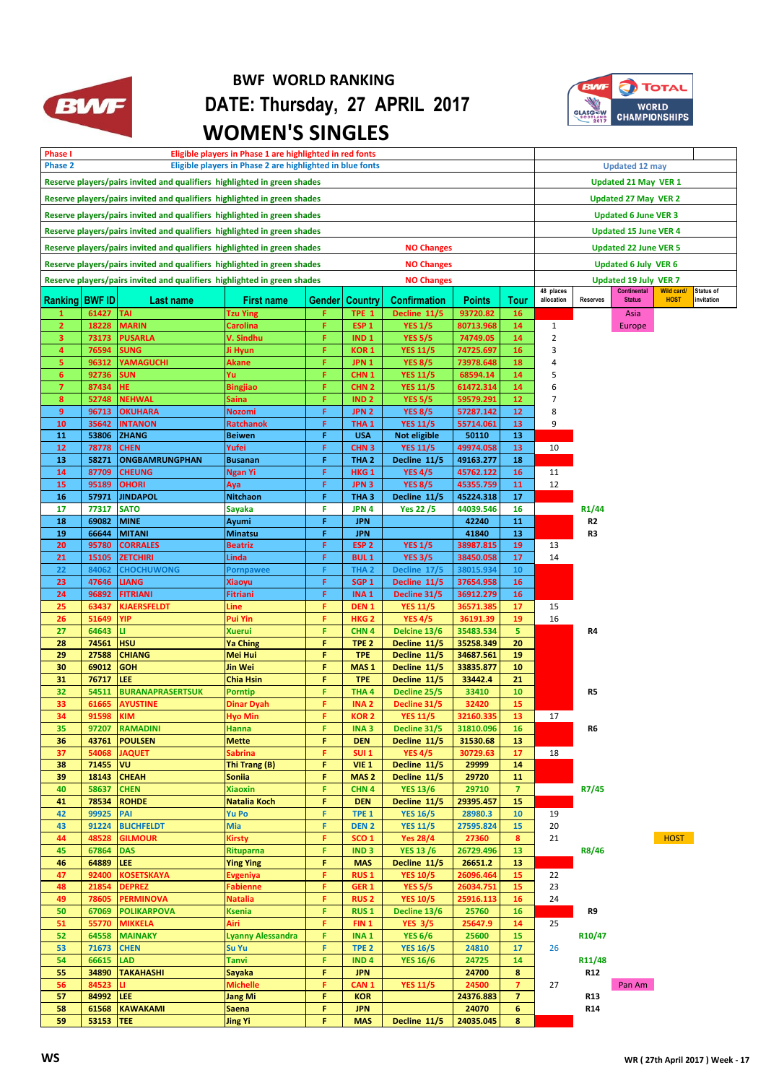

## **BWF WORLD RANKING BWF** DATE: Thursday, 27 APRIL 2017  **WOMEN'S SINGLES**



| Phase I<br>Eligible players in Phase 1 are highlighted in red fonts<br>Phase 2<br>Eligible players in Phase 2 are highlighted in blue fonts |                |                                                                          |                                    |        |                                      |                                   |                        | <b>Updated 12 may</b>         |                               |                              |                              |                   |            |
|---------------------------------------------------------------------------------------------------------------------------------------------|----------------|--------------------------------------------------------------------------|------------------------------------|--------|--------------------------------------|-----------------------------------|------------------------|-------------------------------|-------------------------------|------------------------------|------------------------------|-------------------|------------|
|                                                                                                                                             |                |                                                                          |                                    |        |                                      |                                   |                        | <b>Updated 21 May VER 1</b>   |                               |                              |                              |                   |            |
| Reserve players/pairs invited and qualifiers highlighted in green shades                                                                    |                |                                                                          |                                    |        |                                      |                                   |                        |                               |                               |                              |                              |                   |            |
| Reserve players/pairs invited and qualifiers highlighted in green shades                                                                    |                |                                                                          |                                    |        |                                      |                                   |                        |                               |                               |                              | <b>Updated 27 May VER 2</b>  |                   |            |
| Reserve players/pairs invited and qualifiers highlighted in green shades                                                                    |                |                                                                          |                                    |        |                                      |                                   |                        |                               |                               |                              | <b>Updated 6 June VER 3</b>  |                   |            |
| Reserve players/pairs invited and qualifiers highlighted in green shades                                                                    |                |                                                                          |                                    |        |                                      |                                   |                        |                               |                               |                              | <b>Updated 15 June VER 4</b> |                   |            |
| Reserve players/pairs invited and qualifiers highlighted in green shades<br><b>NO Changes</b>                                               |                |                                                                          |                                    |        |                                      |                                   |                        |                               |                               | <b>Updated 22 June VER 5</b> |                              |                   |            |
| Reserve players/pairs invited and qualifiers highlighted in green shades<br><b>NO Changes</b>                                               |                |                                                                          |                                    |        |                                      |                                   |                        |                               | <b>Updated 6 July VER 6</b>   |                              |                              |                   |            |
|                                                                                                                                             |                | Reserve players/pairs invited and qualifiers highlighted in green shades |                                    |        |                                      | <b>NO Changes</b>                 |                        |                               |                               |                              | <b>Updated 19 July VER 7</b> |                   |            |
|                                                                                                                                             |                |                                                                          |                                    |        |                                      |                                   |                        |                               | 48 places                     |                              | <b>Continental</b>           | <b>Wild card/</b> | Status of  |
| Ranking   BWF ID                                                                                                                            |                | Last name                                                                | <b>First name</b>                  | Gender | <b>Country</b>                       | <b>Confirmation</b>               | <b>Points</b>          | Tour                          | allocation                    | <b>Reserves</b>              | <b>Status</b>                | <b>HOST</b>       | invitation |
| $\mathbf{1}$                                                                                                                                | 61427          | <b>TAI</b>                                                               | <b>Tzu Ying</b>                    | F      | TPE 1                                | Decline 11/5                      | 93720.82               | <b>16</b>                     |                               |                              | Asia                         |                   |            |
| $\overline{2}$<br>3                                                                                                                         | 18228<br>73173 | <b>MARIN</b><br><b>PUSARLA</b>                                           | <b>Carolina</b><br>V. Sindhu       | F<br>F | ESP <sub>1</sub><br>IND <sub>1</sub> | <b>YES 1/5</b><br><b>YES 5/5</b>  | 80713.968<br>74749.05  | 14<br>14                      | $\mathbf 1$<br>$\overline{2}$ |                              | Europe                       |                   |            |
| $\overline{\mathbf{4}}$                                                                                                                     | 76594          | <b>SUNG</b>                                                              | Ji Hyun                            | F      | KOR <sub>1</sub>                     | YES 11/5                          | 74725.697              | 16                            | 3                             |                              |                              |                   |            |
| 5                                                                                                                                           | 96312          | <b>YAMAGUCHI</b>                                                         | Akane                              | F      | JPN <sub>1</sub>                     | <b>YES 8/5</b>                    | 73978.648              | 18                            | 4                             |                              |                              |                   |            |
| 6                                                                                                                                           | 92736          | <b>SUN</b>                                                               | Yu                                 | F      | CHN <sub>1</sub>                     | <b>YES 11/5</b>                   | 68594.14               | 14                            | 5                             |                              |                              |                   |            |
| $\overline{7}$                                                                                                                              | 87434          | HE                                                                       | <b>Bingjiao</b>                    | F      | CHN <sub>2</sub>                     | <b>YES 11/5</b>                   | 61472.314              | 14                            | 6                             |                              |                              |                   |            |
| 8                                                                                                                                           | 52748          | <b>NEHWAL</b>                                                            | Saina                              | F      | IND <sub>2</sub>                     | <b>YES 5/5</b>                    | 59579.291              | 12                            | 7                             |                              |                              |                   |            |
| 9<br>10                                                                                                                                     | 96713<br>35642 | <b>OKUHARA</b><br><b>INTANON</b>                                         | <b>Nozomi</b><br><b>Ratchanok</b>  | F<br>F | JPN <sub>2</sub><br>THA <sub>1</sub> | <b>YES 8/5</b><br><b>YES 11/5</b> | 57287.142<br>55714.061 | 12<br>13                      | 8<br>9                        |                              |                              |                   |            |
| 11                                                                                                                                          | 53806          | <b>ZHANG</b>                                                             | <b>Beiwen</b>                      | F      | <b>USA</b>                           | Not eligible                      | 50110                  | 13                            |                               |                              |                              |                   |            |
| 12                                                                                                                                          | 78778          | <b>CHEN</b>                                                              | Yufei                              | F      | CHN <sub>3</sub>                     | <b>YES 11/5</b>                   | 49974.058              | 13                            | 10                            |                              |                              |                   |            |
| 13                                                                                                                                          | 58271          | <b>ONGBAMRUNGPHAN</b>                                                    | <b>Busanan</b>                     | F      | THA <sub>2</sub>                     | Decline 11/5                      | 49163.277              | 18                            |                               |                              |                              |                   |            |
| 14                                                                                                                                          | 87709          | <b>CHEUNG</b>                                                            | <b>Ngan Yi</b>                     | F      | HKG <sub>1</sub>                     | <b>YES 4/5</b>                    | 45762.122              | 16                            | 11                            |                              |                              |                   |            |
| 15                                                                                                                                          | 95189          | <b>OHORI</b>                                                             | Aya                                | F      | JPN <sub>3</sub>                     | <b>YES 8/5</b>                    | 45355.759              | 11                            | 12                            |                              |                              |                   |            |
| 16                                                                                                                                          | 57971          | <b>JINDAPOL</b>                                                          | <b>Nitchaon</b>                    | F      | THA <sub>3</sub>                     | Decline 11/5                      | 45224.318              | 17                            |                               |                              |                              |                   |            |
| 17<br>18                                                                                                                                    | 77317<br>69082 | <b>SATO</b><br><b>MINE</b>                                               | Sayaka<br>Ayumi                    | F<br>F | JPN 4<br><b>JPN</b>                  | Yes 22 /5                         | 44039.546<br>42240     | 16<br>11                      |                               | R <sub>1</sub> /44<br>R2     |                              |                   |            |
| 19                                                                                                                                          | 66644          | <b>MITANI</b>                                                            | <b>Minatsu</b>                     | F      | <b>JPN</b>                           |                                   | 41840                  | 13                            |                               | R3                           |                              |                   |            |
| 20                                                                                                                                          | 95780          | <b>CORRALES</b>                                                          | <b>Beatriz</b>                     | F      | ESP <sub>2</sub>                     | <b>YES 1/5</b>                    | 38987.815              | 19                            | 13                            |                              |                              |                   |            |
| 21                                                                                                                                          | 15105          | <b>ZETCHIRI</b>                                                          | Linda                              | F      | <b>BUL1</b>                          | <b>YES 3/5</b>                    | 38450.058              | 17                            | 14                            |                              |                              |                   |            |
| 22                                                                                                                                          | 84062          | <b>CHOCHUWONG</b>                                                        | Pornpawee                          | F      | THA <sub>2</sub>                     | Decline 17/5                      | 38015.934              | 10                            |                               |                              |                              |                   |            |
| 23                                                                                                                                          | 47646          | <b>LIANG</b>                                                             | Xiaoyu                             | F      | SGP <sub>1</sub>                     | Decline 11/5                      | 37654.958              | 16                            |                               |                              |                              |                   |            |
| 24                                                                                                                                          | 96892          | <b>FITRIANI</b>                                                          | Fitriani                           | F<br>F | INA <sub>1</sub>                     | Decline 31/5                      | 36912.279              | 16<br>17                      |                               |                              |                              |                   |            |
| 25<br>26                                                                                                                                    | 63437<br>51649 | KJAERSFELDT<br>YIP                                                       | Line<br>Pui Yin                    | F      | DEN <sub>1</sub><br>HKG <sub>2</sub> | <b>YES 11/5</b><br><b>YES 4/5</b> | 36571.385<br>36191.39  | 19                            | 15<br>16                      |                              |                              |                   |            |
| 27                                                                                                                                          | 64643          | u.                                                                       | Xuerui                             | F      | CHN <sub>4</sub>                     | Delcine 13/6                      | 35483.534              | 5                             |                               | R4                           |                              |                   |            |
| 28                                                                                                                                          | 74561          | <b>HSU</b>                                                               | <b>Ya Ching</b>                    | F      | TPE <sub>2</sub>                     | Decline 11/5                      | 35258.349              | 20                            |                               |                              |                              |                   |            |
| 29                                                                                                                                          | 27588          | <b>CHIANG</b>                                                            | <b>Mei Hui</b>                     | F      | <b>TPE</b>                           | Decline 11/5                      | 34687.561              | 19                            |                               |                              |                              |                   |            |
| 30                                                                                                                                          | 69012          | <b>GOH</b>                                                               | <b>Jin Wei</b>                     | F      | MAS <sub>1</sub>                     | Decline 11/5                      | 33835.877              | 10                            |                               |                              |                              |                   |            |
| 31                                                                                                                                          | 76717          | LEE                                                                      | <b>Chia Hsin</b>                   | F<br>F | <b>TPE</b>                           | Decline 11/5                      | 33442.4                | 21                            |                               |                              |                              |                   |            |
| 32<br>33                                                                                                                                    | 54511<br>61665 | <b>BURANAPRASERTSUK</b><br>AYUSTINE                                      | Porntip<br><b>Dinar Dyah</b>       | F      | THA <sub>4</sub><br><b>INA2</b>      | Decline 25/5<br>Decline 31/5      | 33410<br>32420         | 10<br>15                      |                               | R5                           |                              |                   |            |
| 34                                                                                                                                          | 91598 KIM      |                                                                          | Hyo Min                            | ۰.     | KOR <sub>2</sub>                     | <b>YES 11/5</b>                   | 32160.335              | 13                            | 17                            |                              |                              |                   |            |
| 35                                                                                                                                          | 97207          | <b>RAMADINI</b>                                                          | Hanna                              | F      | INA <sub>3</sub>                     | Decline 31/5                      | 31810.096              | 16                            |                               | R6                           |                              |                   |            |
| 36                                                                                                                                          | 43761          | <b>POULSEN</b>                                                           | <b>Mette</b>                       | F      | <b>DEN</b>                           | Decline 11/5                      | 31530.68               | 13                            |                               |                              |                              |                   |            |
| 37                                                                                                                                          | 54068          | <b>JAQUET</b>                                                            | Sabrina                            | F.     | SUI <sub>1</sub>                     | <b>YES 4/5</b>                    | 30729.63               | 17                            | 18                            |                              |                              |                   |            |
| 38                                                                                                                                          | 71455          | <b>VU</b>                                                                | Thi Trang (B)                      | F      | VIE <sub>1</sub>                     | Decline 11/5                      | 29999                  | 14                            |                               |                              |                              |                   |            |
| 39<br>40                                                                                                                                    | 18143<br>58637 | <b>CHEAH</b><br><b>CHEN</b>                                              | Soniia<br>Xiaoxin                  | F<br>F | MAS <sub>2</sub><br>CHN <sub>4</sub> | Decline 11/5<br><b>YES 13/6</b>   | 29720<br>29710         | 11<br>$\overline{\mathbf{z}}$ |                               | R7/45                        |                              |                   |            |
| 41                                                                                                                                          | 78534          | <b>ROHDE</b>                                                             | Natalia Koch                       | F      | <b>DEN</b>                           | Decline 11/5                      | 29395.457              | 15                            |                               |                              |                              |                   |            |
| 42                                                                                                                                          | 99925          | <b>PAI</b>                                                               | <b>Yu Po</b>                       | F      | TPE <sub>1</sub>                     | <b>YES 16/5</b>                   | 28980.3                | 10                            | 19                            |                              |                              |                   |            |
| 43                                                                                                                                          | 91224          | <b>BLICHFELDT</b>                                                        | <b>Mia</b>                         | F      | <b>DEN 2</b>                         | <b>YES 11/5</b>                   | 27595.824              | 15                            | 20                            |                              |                              |                   |            |
| 44                                                                                                                                          | 48528          | <b>GILMOUR</b>                                                           | <b>Kirsty</b>                      | F      | SCO <sub>1</sub>                     | <b>Yes 28/4</b>                   | 27360                  | 8                             | 21                            |                              |                              | <b>HOST</b>       |            |
| 45                                                                                                                                          | 67864          | <b>DAS</b>                                                               | <b>Rituparna</b>                   | F      | IND <sub>3</sub>                     | <b>YES 13/6</b>                   | 26729.496              | 13                            |                               | R8/46                        |                              |                   |            |
| 46                                                                                                                                          | 64889          | LEE.                                                                     | <b>Ying Ying</b>                   | F      | <b>MAS</b>                           | Decline 11/5                      | 26651.2                | 13                            |                               |                              |                              |                   |            |
| 47<br>48                                                                                                                                    | 92400<br>21854 | <b>KOSETSKAYA</b><br><b>DEPREZ</b>                                       | <b>Evgeniya</b><br><b>Fabienne</b> | F<br>F | <b>RUS1</b><br>GER <sub>1</sub>      | <b>YES 10/5</b><br><b>YES 5/5</b> | 26096.464<br>26034.751 | 15<br>15                      | 22<br>23                      |                              |                              |                   |            |
| 49                                                                                                                                          | 78605          | <b>PERMINOVA</b>                                                         | <b>Natalia</b>                     | F.     | <b>RUS2</b>                          | <b>YES 10/5</b>                   | 25916.113              | 16                            | 24                            |                              |                              |                   |            |
| 50                                                                                                                                          | 67069          | <b>POLIKARPOVA</b>                                                       | Ksenia                             | F      | <b>RUS1</b>                          | Decline 13/6                      | 25760                  | 16                            |                               | R9                           |                              |                   |            |
| 51                                                                                                                                          | 55770          | <b>MIKKELA</b>                                                           | Airi                               | F      | FIN <sub>1</sub>                     | <b>YES 3/5</b>                    | 25647.9                | 14                            | 25                            |                              |                              |                   |            |
| 52                                                                                                                                          | 64558          | <b>MAINAKY</b>                                                           | <b>Lyanny Alessandra</b>           | F      | INA <sub>1</sub>                     | <b>YES 6/6</b>                    | 25600                  | 15                            |                               | R <sub>10</sub> /47          |                              |                   |            |
| 53                                                                                                                                          | 71673          | <b>CHEN</b>                                                              | Su Yu                              | F      | TPE <sub>2</sub>                     | <b>YES 16/5</b>                   | 24810                  | 17                            | 26                            |                              |                              |                   |            |
| 54                                                                                                                                          | 66615          | LAD                                                                      | Tanvi                              | F      | IND <sub>4</sub>                     | <b>YES 16/6</b>                   | 24725                  | 14                            |                               | R11/48                       |                              |                   |            |
| 55<br>56                                                                                                                                    | 34890<br>84523 | <b>TAKAHASHI</b><br>u                                                    | Sayaka<br><b>Michelle</b>          | F<br>F | <b>JPN</b><br>CAN <sub>1</sub>       | <b>YES 11/5</b>                   | 24700<br>24500         | 8<br>$\overline{7}$           | 27                            | R12                          | Pan Am                       |                   |            |
| 57                                                                                                                                          | 84992 LEE      |                                                                          | <b>Jang Mi</b>                     | F      | <b>KOR</b>                           |                                   | 24376.883              | 7                             |                               | R13                          |                              |                   |            |
| 58                                                                                                                                          |                | 61568 KAWAKAMI                                                           | <b>Saena</b>                       | F      | <b>JPN</b>                           |                                   | 24070                  | 6                             |                               | R14                          |                              |                   |            |
| 59                                                                                                                                          | 53153 TEE      |                                                                          | <b>Jing Yi</b>                     | F      | <b>MAS</b>                           | Decline 11/5                      | 24035.045              | 8                             |                               |                              |                              |                   |            |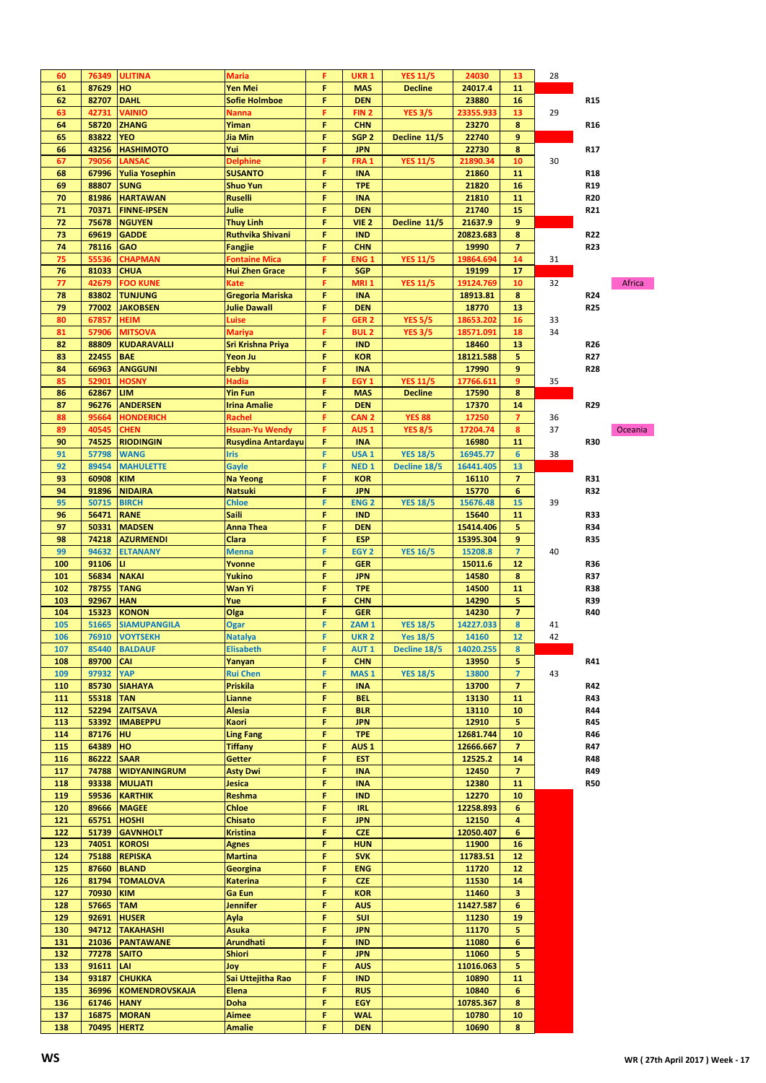| 60         | 76349              | ULITINA                    | <b>Maria</b>              | F      | <b>UKR 1</b>             | <b>YES 11/5</b> | 24030          | 13                      | 28 |            |         |
|------------|--------------------|----------------------------|---------------------------|--------|--------------------------|-----------------|----------------|-------------------------|----|------------|---------|
| 61         | 87629              | HO                         | Yen Mei                   | F      | <b>MAS</b>               | <b>Decline</b>  | 24017.4        | 11                      |    |            |         |
| 62         | 82707              | <b>DAHL</b>                | <b>Sofie Holmboe</b>      | F      | <b>DEN</b>               |                 | 23880          | 16                      |    | R15        |         |
| 63         | 42731              | <b>VAINIO</b>              | Nanna                     | F      | FIN <sub>2</sub>         | <b>YES 3/5</b>  | 23355.933      | 13                      | 29 |            |         |
| 64         | 58720              | <b>ZHANG</b>               | Yiman                     | F      | <b>CHN</b>               |                 | 23270          | 8                       |    | R16        |         |
| 65         | 83822              | <b>YEO</b>                 | Jia Min                   | F      | SGP <sub>2</sub>         | Decline 11/5    | 22740          | 9                       |    |            |         |
| 66         | 43256              | <b>HASHIMOTO</b>           | Yui                       | F      | <b>JPN</b>               |                 | 22730          | 8                       |    | R17        |         |
| 67         | 79056              | LANSAC                     | <b>Delphine</b>           | F      | FRA <sub>1</sub>         | <b>YES 11/5</b> | 21890.34       | 10                      | 30 |            |         |
| 68         | 67996              | <b>Yulia Yosephin</b>      | <b>SUSANTO</b>            | F      | <b>INA</b>               |                 | 21860          | 11                      |    | R18        |         |
| 69         | 88807              | <b>SUNG</b>                | <b>Shuo Yun</b>           | F      | <b>TPE</b>               |                 | 21820          | 16                      |    | R19        |         |
| 70         | 81986              | <b>HARTAWAN</b>            | <b>Ruselli</b>            | F      | <b>INA</b>               |                 | 21810          | 11                      |    | <b>R20</b> |         |
| 71         | 70371              | <b>FINNE-IPSEN</b>         | Julie                     | F      | <b>DEN</b>               |                 | 21740          | 15                      |    | R21        |         |
| 72         | 75678              | <b>NGUYEN</b>              | <b>Thuy Linh</b>          | F      | VIE <sub>2</sub>         | Decline 11/5    | 21637.9        | 9                       |    |            |         |
| 73         | 69619              | <b>GADDE</b>               | <b>Ruthvika Shivani</b>   | F      | <b>IND</b>               |                 | 20823.683      | 8                       |    | R22        |         |
| 74         | 78116              | <b>GAO</b>                 | <b>Fangjie</b>            | F      | <b>CHN</b>               |                 | 19990          | 7                       |    | R23        |         |
| 75         | 55536              | <b>CHAPMAN</b>             | <b>Fontaine Mica</b>      | F      | ENG <sub>1</sub>         | <b>YES 11/5</b> | 19864.694      | 14                      | 31 |            |         |
| 76         | 81033              | <b>CHUA</b>                | <b>Hui Zhen Grace</b>     | F      | <b>SGP</b>               |                 | 19199          | 17                      |    |            |         |
| 77         | 42679              | <b>FOO KUNE</b>            | Kate                      | F      | <b>MRI1</b>              | <b>YES 11/5</b> | 19124.769      | 10                      | 32 |            | Africa  |
| 78         | 83802              | <b>TUNJUNG</b>             | <b>Gregoria Mariska</b>   | F      | <b>INA</b>               |                 | 18913.81       | 8                       |    | R24        |         |
| 79         | 77002              | <b>JAKOBSEN</b>            | <b>Julie Dawall</b>       | F      | <b>DEN</b>               |                 | 18770          | 13                      |    | R25        |         |
| 80         | 67857              | HEIM                       | Luise                     | F      | GER <sub>2</sub>         | <b>YES 5/5</b>  | 18653.202      | 16                      | 33 |            |         |
| 81         | 57906              | <b>MITSOVA</b>             | <b>Mariya</b>             | F      | <b>BUL2</b>              | <b>YES 3/5</b>  | 18571.091      | 18                      | 34 |            |         |
| 82         | 88809              | <b>KUDARAVALLI</b>         | Sri Krishna Priya         | F      | <b>IND</b>               |                 | 18460          | 13                      |    | R26        |         |
| 83         | 22455              | <b>BAE</b>                 | Yeon Ju                   | F      | <b>KOR</b>               |                 | 18121.588      | 5                       |    | R27        |         |
| 84         | 66963              | <b>ANGGUNI</b>             | <b>Febby</b>              | F      | <b>INA</b>               |                 | 17990          | 9                       |    | R28        |         |
| 85         | 52901              | <b>HOSNY</b>               | Hadia                     | F      | EGY <sub>1</sub>         | <b>YES 11/5</b> | 17766.611      | 9                       | 35 |            |         |
| 86         | 62867              | LIM                        | <b>Yin Fun</b>            | F      | <b>MAS</b>               | <b>Decline</b>  | 17590          | 8                       |    |            |         |
| 87         | 96276              | <b>ANDERSEN</b>            | <b>Irina Amalie</b>       | F      | <b>DEN</b>               |                 | 17370          | 14                      |    | R29        |         |
| 88         | 95664              | <b>HONDERICH</b>           | Rachel                    | F      | CAN <sub>2</sub>         | <b>YES 88</b>   | 17250          | $\overline{7}$          | 36 |            |         |
| 89         | 40545              | CHEN                       | <b>Hsuan-Yu Wendy</b>     | F      | AUS <sub>1</sub>         | <b>YES 8/5</b>  | 17204.74       | 8                       | 37 |            | Oceania |
| 90         | 74525              | <b>RIODINGIN</b>           | <b>Rusydina Antardayu</b> | F      | <b>INA</b>               |                 | 16980          | 11                      |    | <b>R30</b> |         |
| 91         | 57798              | <b>WANG</b>                | <b>Iris</b>               | F      | USA <sub>1</sub>         | <b>YES 18/5</b> | 16945.77       | 6                       | 38 |            |         |
| 92         | 89454              | <b>MAHULETTE</b>           | Gayle                     | F      | NED <sub>1</sub>         | Decline 18/5    | 16441.405      | 13                      |    |            |         |
| 93         | 60908              | <b>KIM</b>                 | <b>Na Yeong</b>           | F      | <b>KOR</b>               |                 | 16110          | $\overline{\mathbf{z}}$ |    | R31        |         |
| 94         | 91896              | <b>NIDAIRA</b>             | <b>Natsuki</b>            | F      | <b>JPN</b>               |                 | 15770          | 6                       |    | R32        |         |
| 95         | 50715              | <b>BIRCH</b>               | <b>Chloe</b>              | F      | <b>ENG2</b>              | <b>YES 18/5</b> | 15676.48       | 15                      | 39 |            |         |
| 96         | 56471              | <b>RANE</b>                | <b>Saili</b>              | F      | <b>IND</b>               |                 | 15640          | 11                      |    | R33        |         |
| 97         | 50331              | <b>MADSEN</b>              | <b>Anna Thea</b>          | F      | <b>DEN</b>               |                 | 15414.406      | 5                       |    | R34        |         |
| 98         | 74218              | <b>AZURMENDI</b>           | Clara                     | F      | <b>ESP</b>               |                 | 15395.304      | 9                       |    | <b>R35</b> |         |
|            |                    |                            |                           |        |                          |                 |                |                         |    |            |         |
| 99         | 94632              | <b>ELTANANY</b>            | <b>Menna</b>              | F      | EGY <sub>2</sub>         | <b>YES 16/5</b> | 15208.8        | $\overline{7}$          | 40 |            |         |
| 100        | 91106              | u                          | Yvonne                    | F      | <b>GER</b>               |                 | 15011.6        | 12                      |    | <b>R36</b> |         |
| 101        | 56834              | <b>NAKAI</b>               | Yukino                    | F      | <b>JPN</b>               |                 | 14580          | 8                       |    | R37        |         |
| 102        | 78755              | <b>TANG</b>                | Wan Yi                    | F      | <b>TPE</b>               |                 | 14500          | 11                      |    | R38        |         |
| 103        | 92967              | <b>HAN</b>                 | Yue                       | F      | <b>CHN</b>               |                 | 14290          | 5                       |    | <b>R39</b> |         |
| 104        | 15323              | <b>KONON</b>               | Olga                      | F      | <b>GER</b>               |                 | 14230          | $\overline{7}$          |    | R40        |         |
| 105        | 51665              | <b>SIAMUPANGILA</b>        | <b>Ogar</b>               | F      | ZAM <sub>1</sub>         | <b>YES 18/5</b> | 14227.033      | 8                       | 41 |            |         |
| 106        |                    | 76910 VOYTSEKH             | <b>Natalya</b>            | F      | <b>UKR 2</b>             | <b>Yes 18/5</b> | 14160          | 12                      | 42 |            |         |
| 107        | 85440              | <b>BALDAUF</b>             | <b>Elisabeth</b>          | F      | <b>AUT1</b>              | Decline 18/5    | 14020.255      | 8                       |    |            |         |
| 108        | 89700              | <b>CAI</b>                 | Yanyan                    | F      | <b>CHN</b>               |                 | 13950          | 5                       |    | R41        |         |
| 109        | 97932              | <b>YAP</b>                 | <b>Rui Chen</b>           | F      | MAS <sub>1</sub>         | <b>YES 18/5</b> | 13800          | $\overline{7}$          | 43 |            |         |
| 110        | 85730              | <b>SIAHAYA</b>             | Priskila                  | F      | <b>INA</b>               |                 | 13700          | 7                       |    | R42        |         |
| 111        | 55318              | <b>TAN</b>                 | Lianne                    | F      | <b>BEL</b>               |                 | 13130          | 11                      |    | R43        |         |
| 112        | 52294              | <b>ZAITSAVA</b>            | <b>Alesia</b>             | F      | <b>BLR</b>               |                 | 13110          | 10                      |    | R44        |         |
| 113        | 53392              | <b>IMABEPPU</b>            | Kaori                     | F      | <b>JPN</b>               |                 | 12910          | 5                       |    | R45        |         |
| 114        | 87176              | <b>HU</b>                  | <b>Ling Fang</b>          | F      | <b>TPE</b>               |                 | 12681.744      | 10                      |    | R46        |         |
| 115        | 64389              | HO                         | <b>Tiffany</b>            | F      | AUS <sub>1</sub>         |                 | 12666.667      | $\overline{\mathbf{z}}$ |    | R47        |         |
| 116        | 86222              | <b>SAAR</b>                | <b>Getter</b>             | F      | <b>EST</b>               |                 | 12525.2        | 14                      |    | R48        |         |
| 117        | 74788              | <b>WIDYANINGRUM</b>        | <b>Asty Dwi</b>           | F      | <b>INA</b>               |                 | 12450          | 7                       |    | R49        |         |
| 118        | 93338              | <b>MULJATI</b>             | Jesica                    | F      | <b>INA</b>               |                 | 12380          | 11                      |    | <b>R50</b> |         |
| 119        | 59536              | <b>KARTHIK</b>             | Reshma                    | F      | <b>IND</b>               |                 | 12270          | 10                      |    |            |         |
| 120        | 89666              | <b>MAGEE</b>               | Chloe                     | F      | <b>IRL</b>               |                 | 12258.893      | 6                       |    |            |         |
| 121        | 65751              | <b>HOSHI</b>               | <b>Chisato</b>            | F      | <b>JPN</b>               |                 | 12150          | 4                       |    |            |         |
| 122        | 51739              | <b>GAVNHOLT</b>            | <b>Kristina</b>           | F      | <b>CZE</b>               |                 | 12050.407      | 6                       |    |            |         |
| 123        | 74051              | <b>KOROSI</b>              | <b>Agnes</b>              | F      | <b>HUN</b>               |                 | 11900          | 16                      |    |            |         |
| 124        | 75188              | <b>REPISKA</b>             | <b>Martina</b>            | F      | <b>SVK</b>               |                 | 11783.51       | 12                      |    |            |         |
| 125        | 87660              | <b>BLAND</b>               | Georgina                  | F      | <b>ENG</b>               |                 | 11720          | 12                      |    |            |         |
| 126        | 81794              | <b>TOMALOVA</b>            | <b>Katerina</b>           | F      | <b>CZE</b>               |                 | 11530          | 14                      |    |            |         |
| 127        | 70930              | <b>KIM</b>                 | Ga Eun                    | F      | <b>KOR</b>               |                 | 11460          | 3                       |    |            |         |
| 128        | 57665              | <b>TAM</b>                 | Jennifer                  | F      | <b>AUS</b>               |                 | 11427.587      | 6                       |    |            |         |
| 129        | 92691              | <b>HUSER</b>               | Ayla                      | F      | <b>SUI</b>               |                 | 11230          | 19                      |    |            |         |
| 130        | 94712              | <b>TAKAHASHI</b>           | <b>Asuka</b>              | F      | <b>JPN</b>               |                 | 11170          | 5                       |    |            |         |
| 131        | 21036              | <b>PANTAWANE</b>           | Arundhati                 | F      | <b>IND</b>               |                 | 11080          | 6                       |    |            |         |
| 132        | <b>77278 SAITO</b> |                            | <b>Shiori</b>             | F      | <b>JPN</b>               |                 | 11060          | 5                       |    |            |         |
| 133        | 91611 LAI          |                            | Joy                       | F      | <b>AUS</b>               |                 | 11016.063      | 5                       |    |            |         |
| 134        | 93187              | <b>CHUKKA</b>              | Sai Uttejitha Rao         | F      | <b>IND</b>               |                 | 10890          | 11                      |    |            |         |
| 135        | 36996              | <b>KOMENDROVSKAJA</b>      | Elena                     | F      | <b>RUS</b>               |                 | 10840          | 6                       |    |            |         |
| 136        | 61746              | <b>HANY</b>                | <b>Doha</b>               | F      | <b>EGY</b>               |                 | 10785.367      | 8                       |    |            |         |
| 137<br>138 |                    | 16875 MORAN<br>70495 HERTZ | Aimee<br><b>Amalie</b>    | F<br>F | <b>WAL</b><br><b>DEN</b> |                 | 10780<br>10690 | 10<br>8                 |    |            |         |